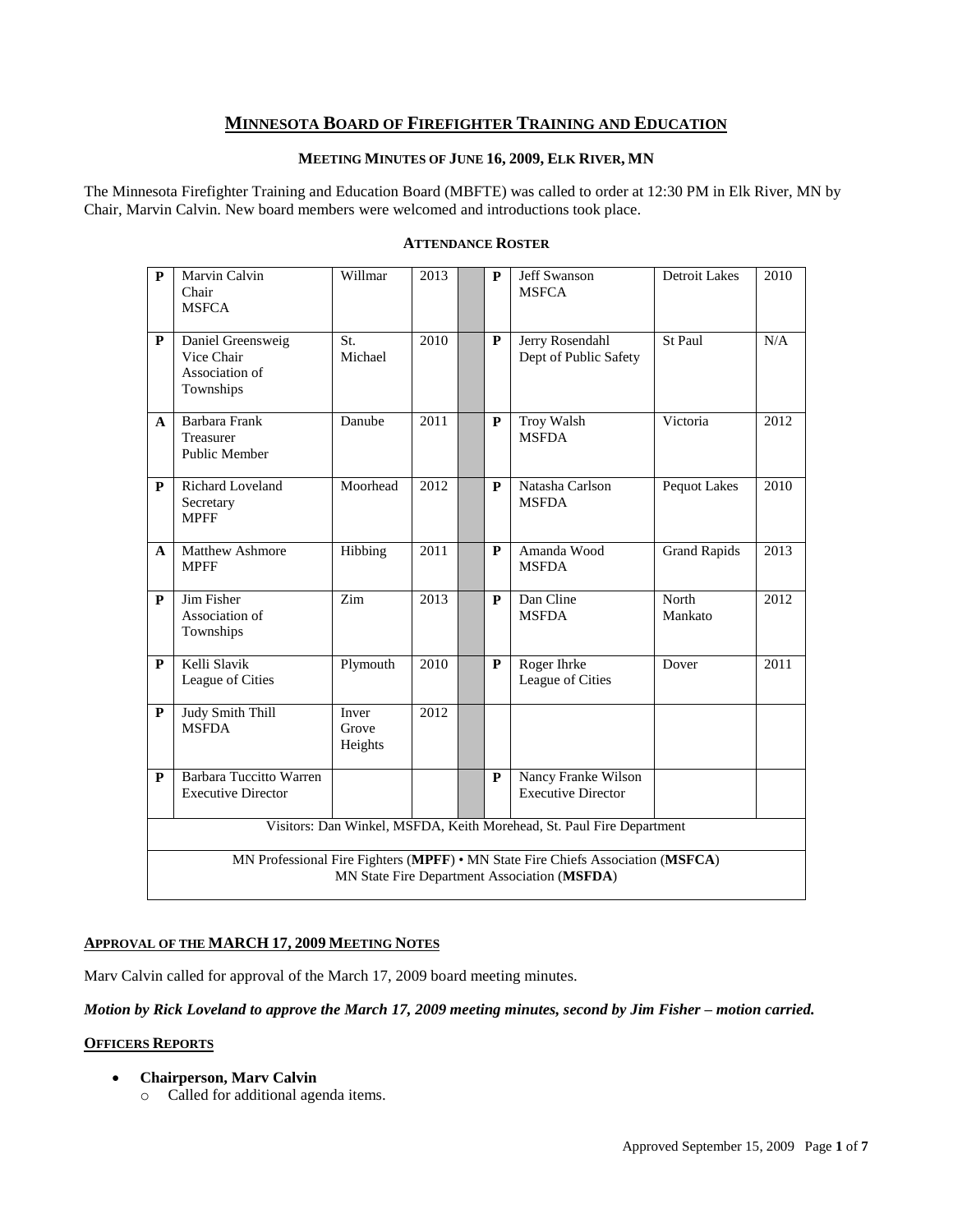# **MINNESOTA BOARD OF FIREFIGHTER TRAINING AND EDUCATION**

# **MEETING MINUTES OF JUNE 16, 2009, ELK RIVER, MN**

The Minnesota Firefighter Training and Education Board (MBFTE) was called to order at 12:30 PM in Elk River, MN by Chair, Marvin Calvin. New board members were welcomed and introductions took place.

| $\mathbf{P}$                                                          | Marvin Calvin<br>Chair<br><b>MSFCA</b>                                                                                          | Willmar                   | 2013 |  | P | Jeff Swanson<br><b>MSFCA</b>                     | <b>Detroit Lakes</b> | 2010 |  |
|-----------------------------------------------------------------------|---------------------------------------------------------------------------------------------------------------------------------|---------------------------|------|--|---|--------------------------------------------------|----------------------|------|--|
| $\mathbf{P}$                                                          | Daniel Greensweig<br>Vice Chair<br>Association of<br>Townships                                                                  | St.<br>Michael            | 2010 |  | P | Jerry Rosendahl<br>Dept of Public Safety         | St Paul              | N/A  |  |
| A                                                                     | Barbara Frank<br>Treasurer<br><b>Public Member</b>                                                                              | Danube                    | 2011 |  | P | <b>Troy Walsh</b><br><b>MSFDA</b>                | Victoria             | 2012 |  |
| P                                                                     | Richard Loveland<br>Secretary<br><b>MPFF</b>                                                                                    | Moorhead                  | 2012 |  | P | Natasha Carlson<br><b>MSFDA</b>                  | Pequot Lakes         | 2010 |  |
| A                                                                     | <b>Matthew Ashmore</b><br><b>MPFF</b>                                                                                           | Hibbing                   | 2011 |  | P | Amanda Wood<br><b>MSFDA</b>                      | <b>Grand Rapids</b>  | 2013 |  |
| $\mathbf{P}$                                                          | Jim Fisher<br>Association of<br>Townships                                                                                       | Zim                       | 2013 |  | P | Dan Cline<br><b>MSFDA</b>                        | North<br>Mankato     | 2012 |  |
| $\mathbf{P}$                                                          | Kelli Slavik<br>League of Cities                                                                                                | Plymouth                  | 2010 |  | P | Roger Ihrke<br>League of Cities                  | Dover                | 2011 |  |
| ${\bf P}$                                                             | <b>Judy Smith Thill</b><br><b>MSFDA</b>                                                                                         | Inver<br>Grove<br>Heights | 2012 |  |   |                                                  |                      |      |  |
| P                                                                     | <b>Barbara Tuccitto Warren</b><br><b>Executive Director</b>                                                                     |                           |      |  | P | Nancy Franke Wilson<br><b>Executive Director</b> |                      |      |  |
| Visitors: Dan Winkel, MSFDA, Keith Morehead, St. Paul Fire Department |                                                                                                                                 |                           |      |  |   |                                                  |                      |      |  |
|                                                                       | MN Professional Fire Fighters (MPFF) • MN State Fire Chiefs Association (MSFCA)<br>MN State Fire Department Association (MSFDA) |                           |      |  |   |                                                  |                      |      |  |

### **ATTENDANCE ROSTER**

# **APPROVAL OF THE MARCH 17, 2009 MEETING NOTES**

Marv Calvin called for approval of the March 17, 2009 board meeting minutes.

*Motion by Rick Loveland to approve the March 17, 2009 meeting minutes, second by Jim Fisher – motion carried.*

# **OFFICERS REPORTS**

- **Chairperson, Marv Calvin** 
	- o Called for additional agenda items.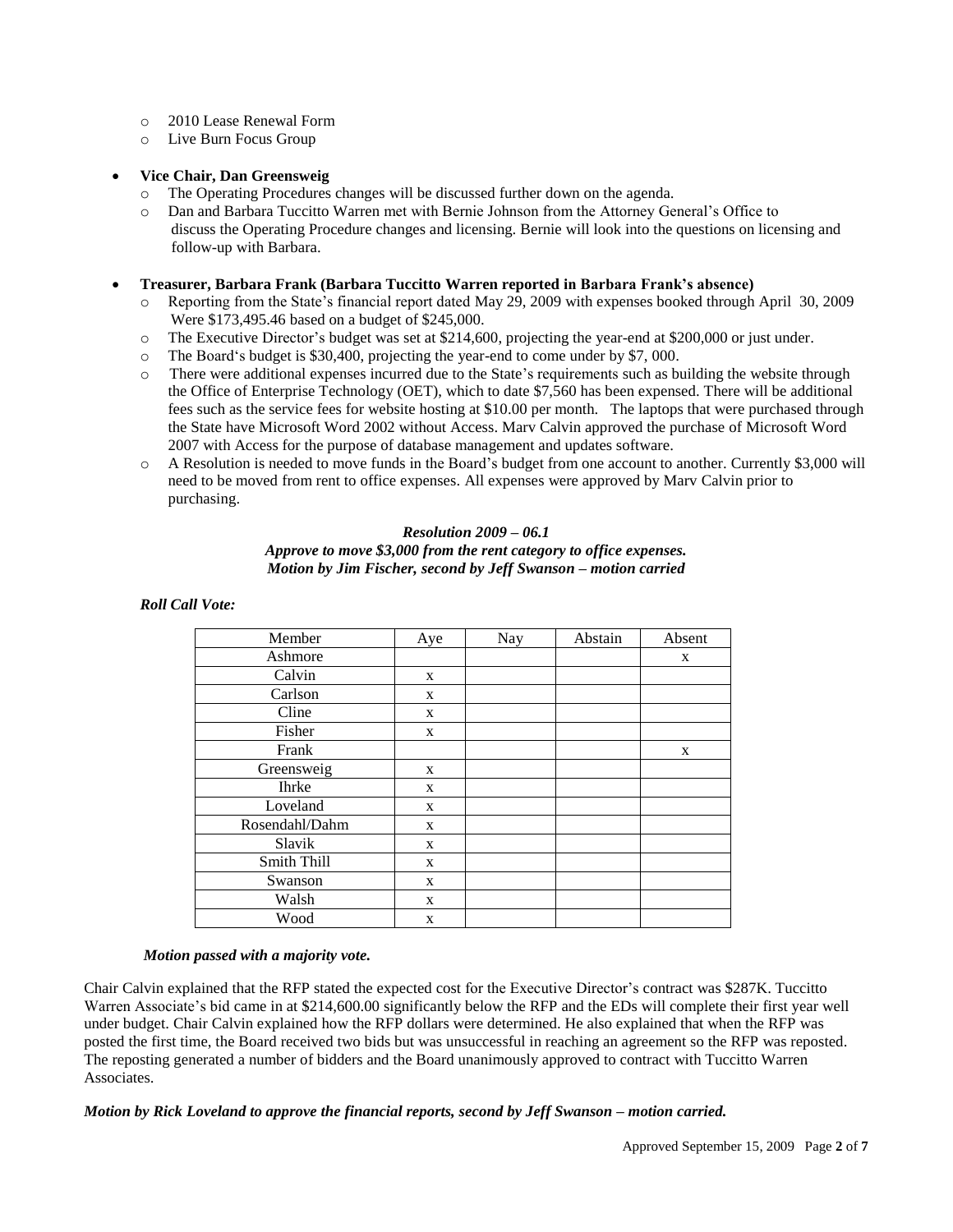- o 2010 Lease Renewal Form
- o Live Burn Focus Group

# **Vice Chair, Dan Greensweig**

- o The Operating Procedures changes will be discussed further down on the agenda.
- o Dan and Barbara Tuccitto Warren met with Bernie Johnson from the Attorney General"s Office to discuss the Operating Procedure changes and licensing. Bernie will look into the questions on licensing and follow-up with Barbara.

#### **Treasurer, Barbara Frank (Barbara Tuccitto Warren reported in Barbara Frank's absence)**

- o Reporting from the State"s financial report dated May 29, 2009 with expenses booked through April 30, 2009 Were \$173,495.46 based on a budget of \$245,000.
- o The Executive Director"s budget was set at \$214,600, projecting the year-end at \$200,000 or just under.
- o The Board"s budget is \$30,400, projecting the year-end to come under by \$7, 000.
- o There were additional expenses incurred due to the State"s requirements such as building the website through the Office of Enterprise Technology (OET), which to date \$7,560 has been expensed. There will be additional fees such as the service fees for website hosting at \$10.00 per month. The laptops that were purchased through the State have Microsoft Word 2002 without Access. Marv Calvin approved the purchase of Microsoft Word 2007 with Access for the purpose of database management and updates software.
- A Resolution is needed to move funds in the Board's budget from one account to another. Currently \$3,000 will need to be moved from rent to office expenses. All expenses were approved by Marv Calvin prior to purchasing.

#### *Resolution 2009 – 06.1*

#### *Approve to move \$3,000 from the rent category to office expenses. Motion by Jim Fischer, second by Jeff Swanson – motion carried*

### *Roll Call Vote:*

| Member         | Aye | Nay | Abstain | Absent |
|----------------|-----|-----|---------|--------|
| Ashmore        |     |     |         | X      |
| Calvin         | X   |     |         |        |
| Carlson        | X   |     |         |        |
| Cline          | X   |     |         |        |
| Fisher         | X   |     |         |        |
| Frank          |     |     |         | X      |
| Greensweig     | X   |     |         |        |
| <b>Ihrke</b>   | X   |     |         |        |
| Loveland       | X   |     |         |        |
| Rosendahl/Dahm | X   |     |         |        |
| Slavik         | X   |     |         |        |
| Smith Thill    | X   |     |         |        |
| Swanson        | X   |     |         |        |
| Walsh          | X   |     |         |        |
| Wood           | X   |     |         |        |

#### *Motion passed with a majority vote.*

Chair Calvin explained that the RFP stated the expected cost for the Executive Director's contract was \$287K. Tuccitto Warren Associate's bid came in at \$214,600.00 significantly below the RFP and the EDs will complete their first year well under budget. Chair Calvin explained how the RFP dollars were determined. He also explained that when the RFP was posted the first time, the Board received two bids but was unsuccessful in reaching an agreement so the RFP was reposted. The reposting generated a number of bidders and the Board unanimously approved to contract with Tuccitto Warren Associates.

#### *Motion by Rick Loveland to approve the financial reports, second by Jeff Swanson – motion carried.*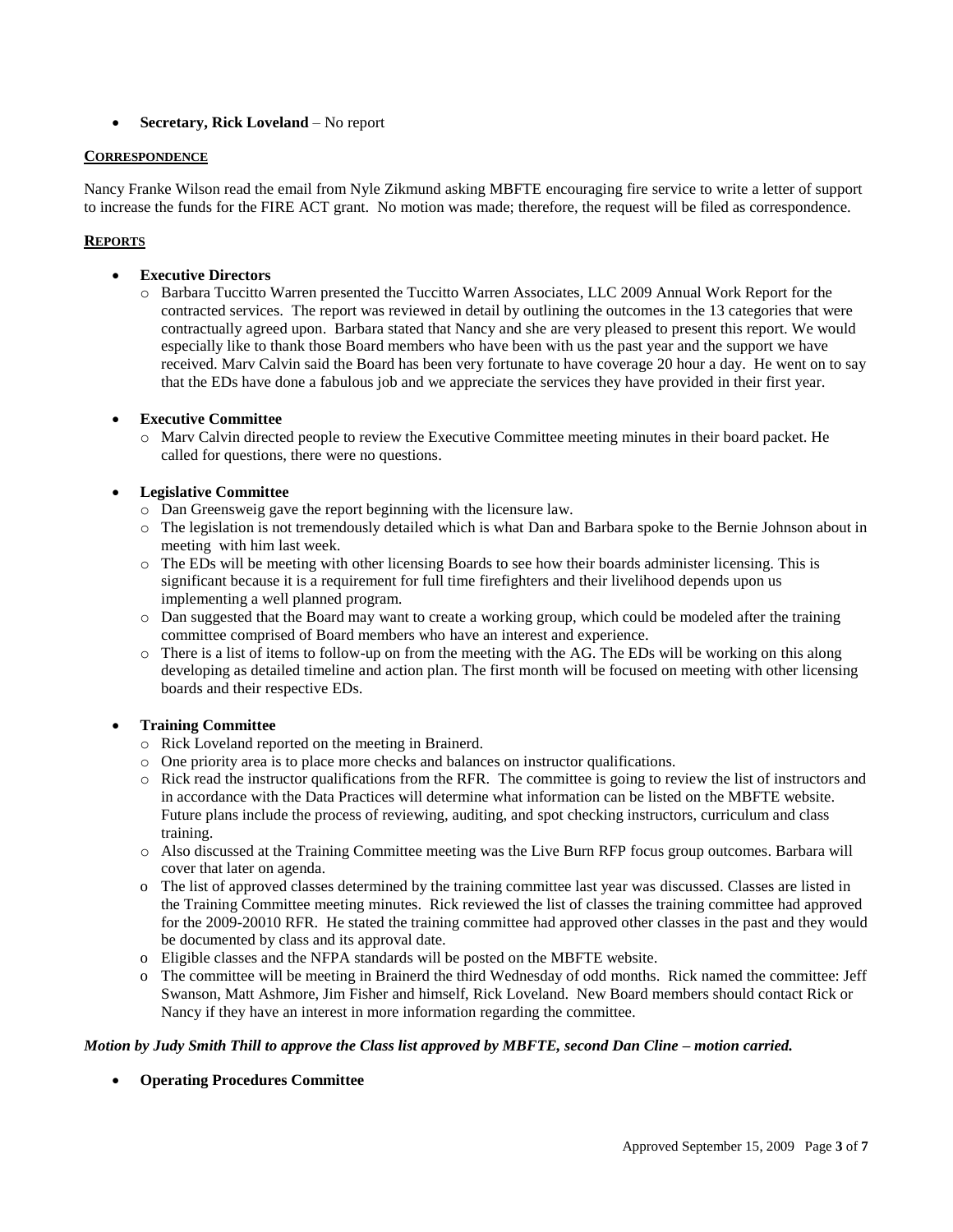**Secretary, Rick Loveland** – No report

#### **CORRESPONDENCE**

Nancy Franke Wilson read the email from Nyle Zikmund asking MBFTE encouraging fire service to write a letter of support to increase the funds for the FIRE ACT grant. No motion was made; therefore, the request will be filed as correspondence.

# **REPORTS**

- **Executive Directors** 
	- o Barbara Tuccitto Warren presented the Tuccitto Warren Associates, LLC 2009 Annual Work Report for the contracted services. The report was reviewed in detail by outlining the outcomes in the 13 categories that were contractually agreed upon. Barbara stated that Nancy and she are very pleased to present this report. We would especially like to thank those Board members who have been with us the past year and the support we have received. Marv Calvin said the Board has been very fortunate to have coverage 20 hour a day. He went on to say that the EDs have done a fabulous job and we appreciate the services they have provided in their first year.

# **Executive Committee**

o Marv Calvin directed people to review the Executive Committee meeting minutes in their board packet. He called for questions, there were no questions.

# **Legislative Committee**

- o Dan Greensweig gave the report beginning with the licensure law.
- o The legislation is not tremendously detailed which is what Dan and Barbara spoke to the Bernie Johnson about in meeting with him last week.
- o The EDs will be meeting with other licensing Boards to see how their boards administer licensing. This is significant because it is a requirement for full time firefighters and their livelihood depends upon us implementing a well planned program.
- o Dan suggested that the Board may want to create a working group, which could be modeled after the training committee comprised of Board members who have an interest and experience.
- o There is a list of items to follow-up on from the meeting with the AG. The EDs will be working on this along developing as detailed timeline and action plan. The first month will be focused on meeting with other licensing boards and their respective EDs.

# **Training Committee**

- o Rick Loveland reported on the meeting in Brainerd.
- o One priority area is to place more checks and balances on instructor qualifications.
- o Rick read the instructor qualifications from the RFR. The committee is going to review the list of instructors and in accordance with the Data Practices will determine what information can be listed on the MBFTE website. Future plans include the process of reviewing, auditing, and spot checking instructors, curriculum and class training.
- o Also discussed at the Training Committee meeting was the Live Burn RFP focus group outcomes. Barbara will cover that later on agenda.
- o The list of approved classes determined by the training committee last year was discussed. Classes are listed in the Training Committee meeting minutes. Rick reviewed the list of classes the training committee had approved for the 2009-20010 RFR. He stated the training committee had approved other classes in the past and they would be documented by class and its approval date.
- o Eligible classes and the NFPA standards will be posted on the MBFTE website.
- o The committee will be meeting in Brainerd the third Wednesday of odd months. Rick named the committee: Jeff Swanson, Matt Ashmore, Jim Fisher and himself, Rick Loveland. New Board members should contact Rick or Nancy if they have an interest in more information regarding the committee.

# *Motion by Judy Smith Thill to approve the Class list approved by MBFTE, second Dan Cline – motion carried.*

**Operating Procedures Committee**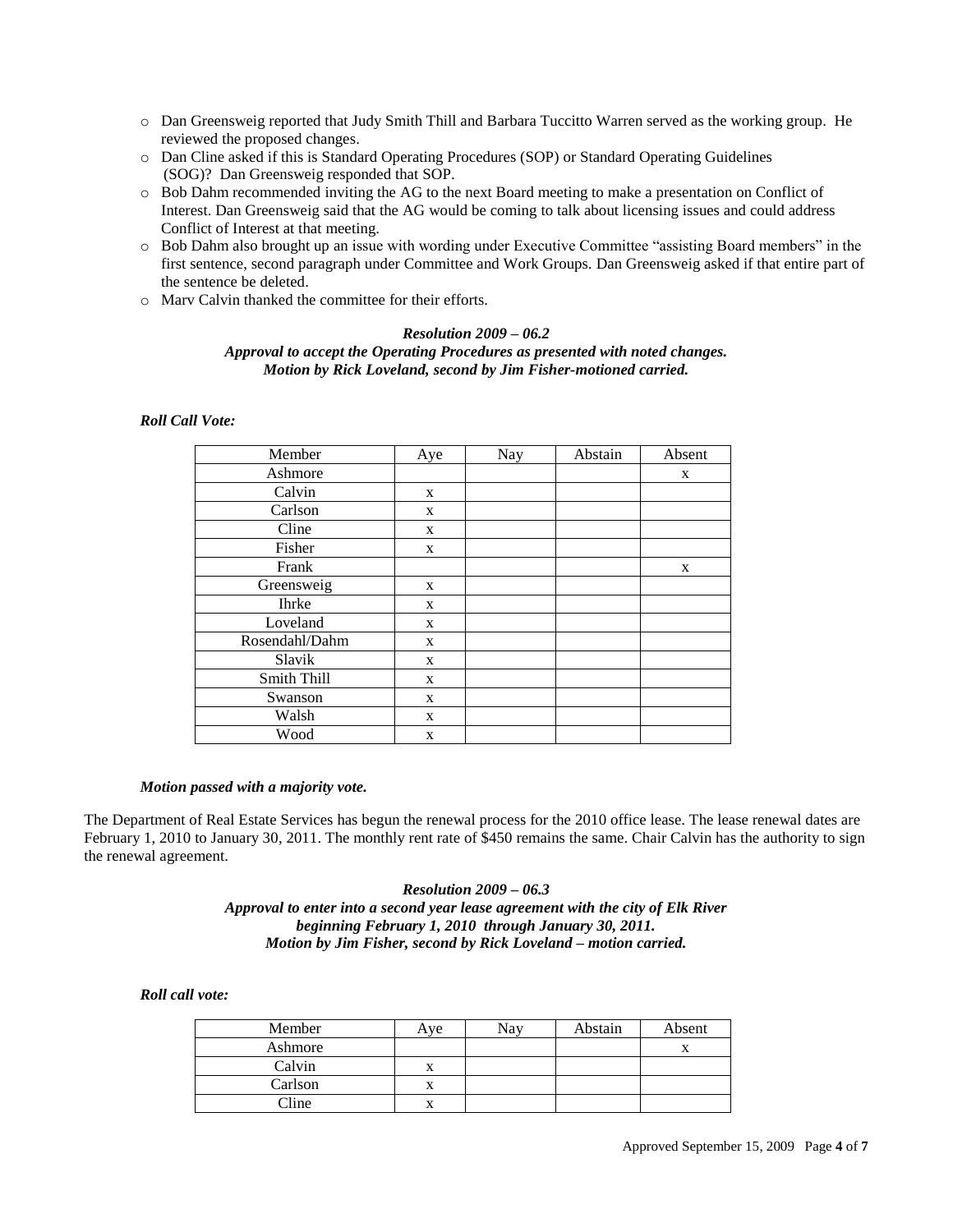- o Dan Greensweig reported that Judy Smith Thill and Barbara Tuccitto Warren served as the working group. He reviewed the proposed changes.
- o Dan Cline asked if this is Standard Operating Procedures (SOP) or Standard Operating Guidelines (SOG)? Dan Greensweig responded that SOP.
- o Bob Dahm recommended inviting the AG to the next Board meeting to make a presentation on Conflict of Interest. Dan Greensweig said that the AG would be coming to talk about licensing issues and could address Conflict of Interest at that meeting.
- o Bob Dahm also brought up an issue with wording under Executive Committee "assisting Board members" in the first sentence, second paragraph under Committee and Work Groups. Dan Greensweig asked if that entire part of the sentence be deleted.
- o Marv Calvin thanked the committee for their efforts.

# *Resolution 2009 – 06.2 Approval to accept the Operating Procedures as presented with noted changes. Motion by Rick Loveland, second by Jim Fisher-motioned carried.*

# *Roll Call Vote:*

| Member         | Aye | Nay | Abstain | Absent |
|----------------|-----|-----|---------|--------|
| Ashmore        |     |     |         | X      |
| Calvin         | X   |     |         |        |
| Carlson        | X   |     |         |        |
| Cline          | X   |     |         |        |
| Fisher         | X   |     |         |        |
| Frank          |     |     |         | X      |
| Greensweig     | X   |     |         |        |
| Ihrke          | X   |     |         |        |
| Loveland       | X   |     |         |        |
| Rosendahl/Dahm | X   |     |         |        |
| Slavik         | X   |     |         |        |
| Smith Thill    | X   |     |         |        |
| Swanson        | X   |     |         |        |
| Walsh          | X   |     |         |        |
| Wood           | X   |     |         |        |

#### *Motion passed with a majority vote.*

The Department of Real Estate Services has begun the renewal process for the 2010 office lease. The lease renewal dates are February 1, 2010 to January 30, 2011. The monthly rent rate of \$450 remains the same. Chair Calvin has the authority to sign the renewal agreement.

> *Resolution 2009 – 06.3 Approval to enter into a second year lease agreement with the city of Elk River beginning February 1, 2010 through January 30, 2011. Motion by Jim Fisher, second by Rick Loveland – motion carried.*

#### *Roll call vote:*

| Member  | Aye | Nav | Abstain | Absent |
|---------|-----|-----|---------|--------|
| Ashmore |     |     |         |        |
| Calvin  |     |     |         |        |
| Carlson |     |     |         |        |
| Cline   |     |     |         |        |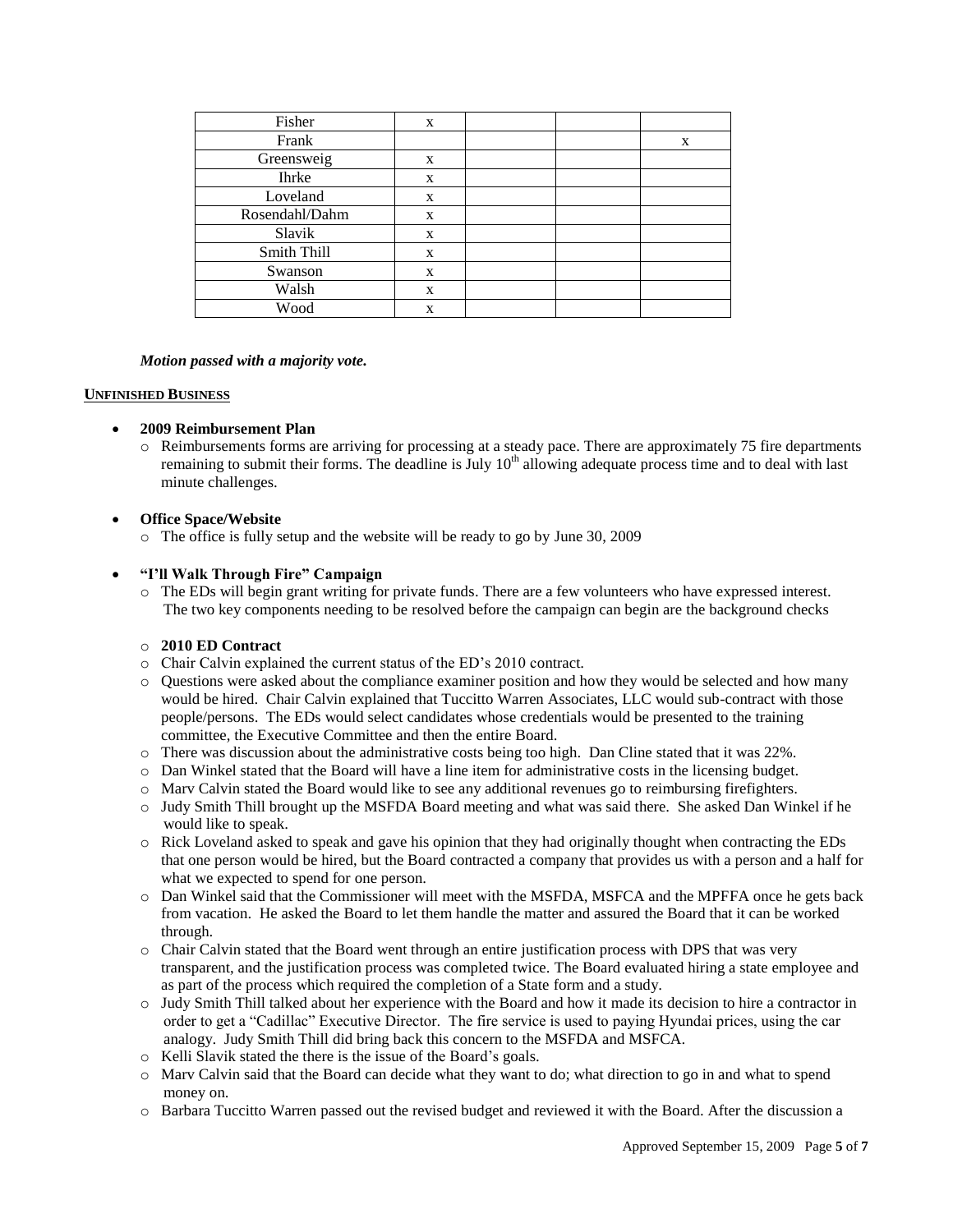| Fisher         | X |  |   |
|----------------|---|--|---|
| Frank          |   |  | X |
| Greensweig     | X |  |   |
| <b>Ihrke</b>   | X |  |   |
| Loveland       | X |  |   |
| Rosendahl/Dahm | X |  |   |
| Slavik         | X |  |   |
| Smith Thill    | X |  |   |
| Swanson        | X |  |   |
| Walsh          | X |  |   |
| Wood           | X |  |   |

#### *Motion passed with a majority vote.*

#### **UNFINISHED BUSINESS**

# **2009 Reimbursement Plan**

 $\circ$  Reimbursements forms are arriving for processing at a steady pace. There are approximately 75 fire departments remaining to submit their forms. The deadline is July  $10<sup>th</sup>$  allowing adequate process time and to deal with last minute challenges.

### **Office Space/Website**

o The office is fully setup and the website will be ready to go by June 30, 2009

# **"I'll Walk Through Fire" Campaign**

o The EDs will begin grant writing for private funds. There are a few volunteers who have expressed interest. The two key components needing to be resolved before the campaign can begin are the background checks

#### o **2010 ED Contract**

- o Chair Calvin explained the current status of the ED"s 2010 contract.
- o Questions were asked about the compliance examiner position and how they would be selected and how many would be hired. Chair Calvin explained that Tuccitto Warren Associates, LLC would sub-contract with those people/persons. The EDs would select candidates whose credentials would be presented to the training committee, the Executive Committee and then the entire Board.
- o There was discussion about the administrative costs being too high. Dan Cline stated that it was 22%.
- o Dan Winkel stated that the Board will have a line item for administrative costs in the licensing budget.
- o Marv Calvin stated the Board would like to see any additional revenues go to reimbursing firefighters.
- o Judy Smith Thill brought up the MSFDA Board meeting and what was said there. She asked Dan Winkel if he would like to speak.
- o Rick Loveland asked to speak and gave his opinion that they had originally thought when contracting the EDs that one person would be hired, but the Board contracted a company that provides us with a person and a half for what we expected to spend for one person.
- o Dan Winkel said that the Commissioner will meet with the MSFDA, MSFCA and the MPFFA once he gets back from vacation. He asked the Board to let them handle the matter and assured the Board that it can be worked through.
- o Chair Calvin stated that the Board went through an entire justification process with DPS that was very transparent, and the justification process was completed twice. The Board evaluated hiring a state employee and as part of the process which required the completion of a State form and a study.
- o Judy Smith Thill talked about her experience with the Board and how it made its decision to hire a contractor in order to get a "Cadillac" Executive Director. The fire service is used to paying Hyundai prices, using the car analogy. Judy Smith Thill did bring back this concern to the MSFDA and MSFCA.
- o Kelli Slavik stated the there is the issue of the Board"s goals.
- o Marv Calvin said that the Board can decide what they want to do; what direction to go in and what to spend money on.
- o Barbara Tuccitto Warren passed out the revised budget and reviewed it with the Board. After the discussion a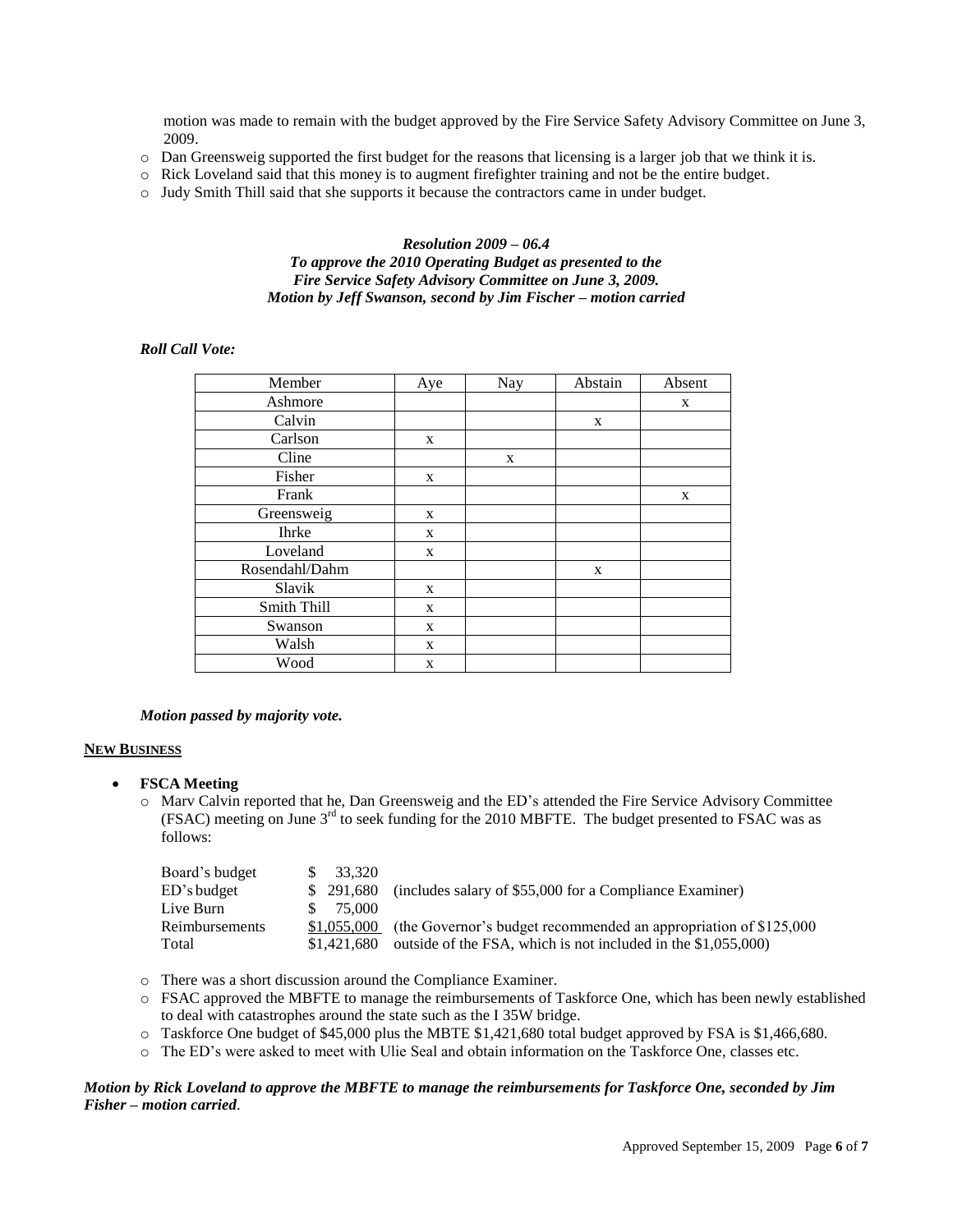motion was made to remain with the budget approved by the Fire Service Safety Advisory Committee on June 3, 2009.

- o Dan Greensweig supported the first budget for the reasons that licensing is a larger job that we think it is.
- o Rick Loveland said that this money is to augment firefighter training and not be the entire budget.
- o Judy Smith Thill said that she supports it because the contractors came in under budget.

### *Resolution 2009 – 06.4 To approve the 2010 Operating Budget as presented to the Fire Service Safety Advisory Committee on June 3, 2009. Motion by Jeff Swanson, second by Jim Fischer – motion carried*

### *Roll Call Vote:*

| Member         | Aye | Nay | Abstain | Absent |
|----------------|-----|-----|---------|--------|
| Ashmore        |     |     |         | X      |
| Calvin         |     |     | X       |        |
| Carlson        | X   |     |         |        |
| Cline          |     | X   |         |        |
| Fisher         | X   |     |         |        |
| Frank          |     |     |         | X      |
| Greensweig     | X   |     |         |        |
| <b>Ihrke</b>   | X   |     |         |        |
| Loveland       | X   |     |         |        |
| Rosendahl/Dahm |     |     | X       |        |
| Slavik         | X   |     |         |        |
| Smith Thill    | X   |     |         |        |
| Swanson        | X   |     |         |        |
| Walsh          | X   |     |         |        |
| Wood           | X   |     |         |        |

#### *Motion passed by majority vote.*

#### **NEW BUSINESS**

- **FSCA Meeting**
	- o Marv Calvin reported that he, Dan Greensweig and the ED"s attended the Fire Service Advisory Committee (FSAC) meeting on June  $3<sup>rd</sup>$  to seek funding for the 2010 MBFTE. The budget presented to FSAC was as follows:

| Board's budget | $\frac{1}{2}$ 33.320 |                                                                   |
|----------------|----------------------|-------------------------------------------------------------------|
| ED's budget    | \$ 291,680           | (includes salary of \$55,000 for a Compliance Examiner)           |
| Live Burn      | \$75,000             |                                                                   |
| Reimbursements | \$1,055,000          | (the Governor's budget recommended an appropriation of \$125,000) |
| Total          | \$1,421,680          | outside of the FSA, which is not included in the \$1,055,000)     |

- o There was a short discussion around the Compliance Examiner.
- o FSAC approved the MBFTE to manage the reimbursements of Taskforce One, which has been newly established to deal with catastrophes around the state such as the I 35W bridge.
- o Taskforce One budget of \$45,000 plus the MBTE \$1,421,680 total budget approved by FSA is \$1,466,680.
- o The ED"s were asked to meet with Ulie Seal and obtain information on the Taskforce One, classes etc.

### *Motion by Rick Loveland to approve the MBFTE to manage the reimbursements for Taskforce One, seconded by Jim Fisher – motion carried*.